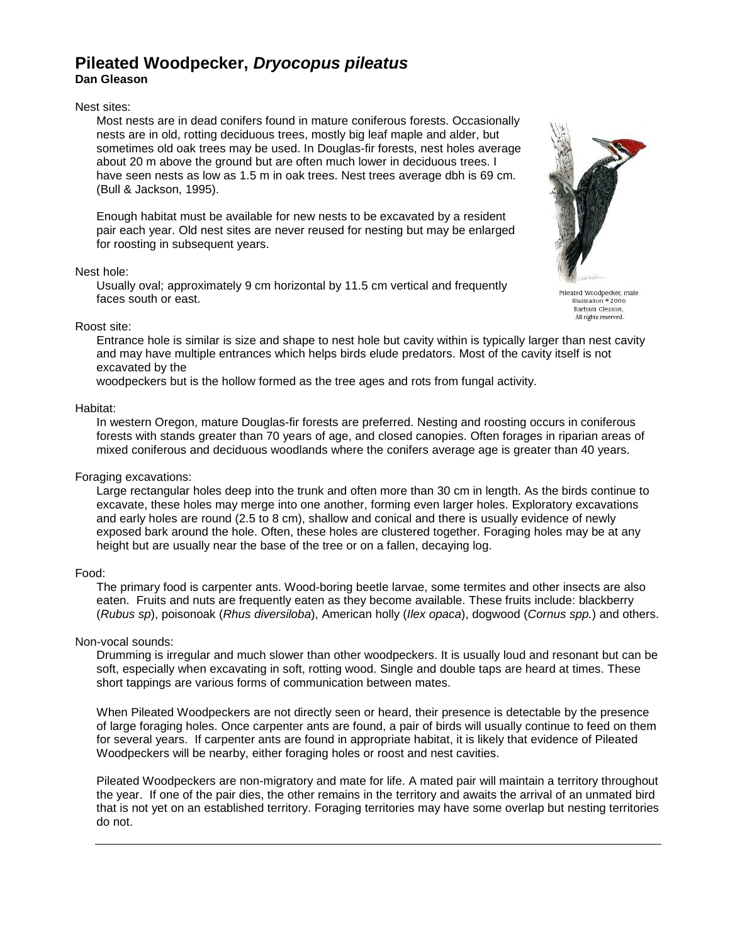# **Pileated Woodpecker, Dryocopus pileatus Dan Gleason**

#### Nest sites:

Most nests are in dead conifers found in mature coniferous forests. Occasionally nests are in old, rotting deciduous trees, mostly big leaf maple and alder, but sometimes old oak trees may be used. In Douglas-fir forests, nest holes average about 20 m above the ground but are often much lower in deciduous trees. I have seen nests as low as 1.5 m in oak trees. Nest trees average dbh is 69 cm. (Bull & Jackson, 1995).

Enough habitat must be available for new nests to be excavated by a resident pair each year. Old nest sites are never reused for nesting but may be enlarged for roosting in subsequent years.

#### Nest hole:

Usually oval; approximately 9 cm horizontal by 11.5 cm vertical and frequently faces south or east.



Pileated Woodpecker, male<br>Illustration \* 2006 Barbara Gleason, All rights reserved.

## Roost site:

Entrance hole is similar is size and shape to nest hole but cavity within is typically larger than nest cavity and may have multiple entrances which helps birds elude predators. Most of the cavity itself is not excavated by the

woodpeckers but is the hollow formed as the tree ages and rots from fungal activity.

## Habitat:

In western Oregon, mature Douglas-fir forests are preferred. Nesting and roosting occurs in coniferous forests with stands greater than 70 years of age, and closed canopies. Often forages in riparian areas of mixed coniferous and deciduous woodlands where the conifers average age is greater than 40 years.

## Foraging excavations:

Large rectangular holes deep into the trunk and often more than 30 cm in length. As the birds continue to excavate, these holes may merge into one another, forming even larger holes. Exploratory excavations and early holes are round (2.5 to 8 cm), shallow and conical and there is usually evidence of newly exposed bark around the hole. Often, these holes are clustered together. Foraging holes may be at any height but are usually near the base of the tree or on a fallen, decaying log.

## Food:

The primary food is carpenter ants. Wood-boring beetle larvae, some termites and other insects are also eaten. Fruits and nuts are frequently eaten as they become available. These fruits include: blackberry (Rubus sp), poisonoak (Rhus diversiloba), American holly (Ilex opaca), dogwood (Cornus spp.) and others.

## Non-vocal sounds:

Drumming is irregular and much slower than other woodpeckers. It is usually loud and resonant but can be soft, especially when excavating in soft, rotting wood. Single and double taps are heard at times. These short tappings are various forms of communication between mates.

When Pileated Woodpeckers are not directly seen or heard, their presence is detectable by the presence of large foraging holes. Once carpenter ants are found, a pair of birds will usually continue to feed on them for several years. If carpenter ants are found in appropriate habitat, it is likely that evidence of Pileated Woodpeckers will be nearby, either foraging holes or roost and nest cavities.

Pileated Woodpeckers are non-migratory and mate for life. A mated pair will maintain a territory throughout the year. If one of the pair dies, the other remains in the territory and awaits the arrival of an unmated bird that is not yet on an established territory. Foraging territories may have some overlap but nesting territories do not.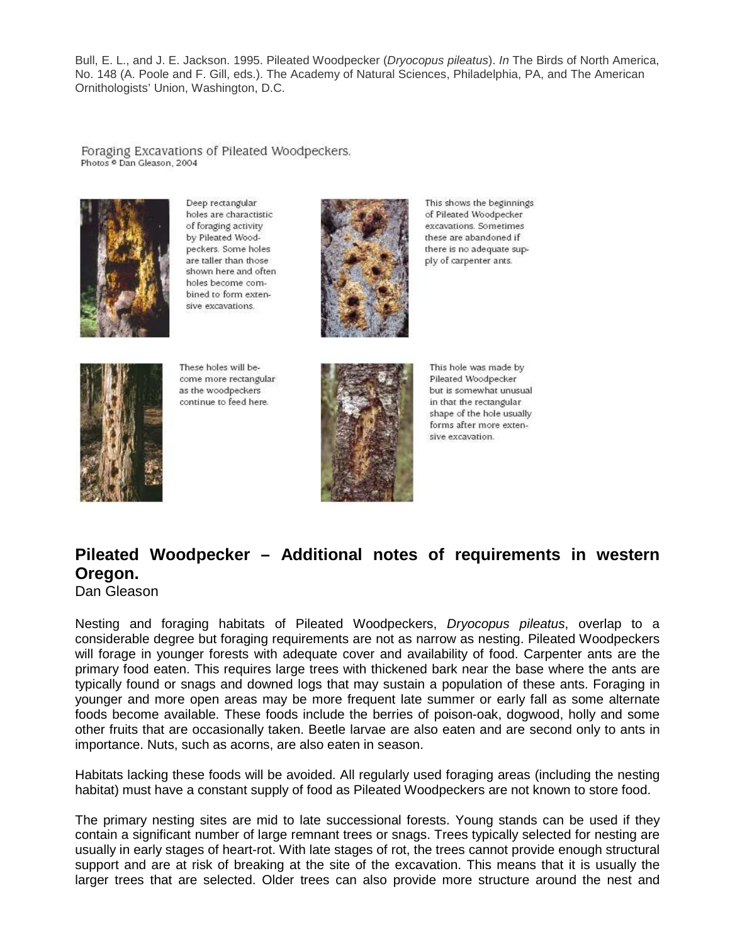Bull, E. L., and J. E. Jackson. 1995. Pileated Woodpecker (Dryocopus pileatus). In The Birds of North America, No. 148 (A. Poole and F. Gill, eds.). The Academy of Natural Sciences, Philadelphia, PA, and The American Ornithologists' Union, Washington, D.C.

Foraging Excavations of Pileated Woodpeckers. Photos <sup>o</sup> Dan Gleason, 2004



Deep rectangular holes are charactistic of foraging activity by Pileated Woodpeckers. Some holes are taller than those shown here and often holes become combined to form extensive excavations.



This shows the beginnings of Pileated Woodpecker excavations. Sometimes these are abandoned if there is no adequate supply of carpenter ants.



These holes will become more rectangular as the woodpeckers continue to feed here.



This hole was made by Pileated Woodpecker but is somewhat unusual in that the rectangular shape of the hole usually forms after more extensive excavation.

# **Pileated Woodpecker – Additional notes of requirements in western Oregon.**

Dan Gleason

Nesting and foraging habitats of Pileated Woodpeckers, Dryocopus pileatus, overlap to a considerable degree but foraging requirements are not as narrow as nesting. Pileated Woodpeckers will forage in younger forests with adequate cover and availability of food. Carpenter ants are the primary food eaten. This requires large trees with thickened bark near the base where the ants are typically found or snags and downed logs that may sustain a population of these ants. Foraging in younger and more open areas may be more frequent late summer or early fall as some alternate foods become available. These foods include the berries of poison-oak, dogwood, holly and some other fruits that are occasionally taken. Beetle larvae are also eaten and are second only to ants in importance. Nuts, such as acorns, are also eaten in season.

Habitats lacking these foods will be avoided. All regularly used foraging areas (including the nesting habitat) must have a constant supply of food as Pileated Woodpeckers are not known to store food.

The primary nesting sites are mid to late successional forests. Young stands can be used if they contain a significant number of large remnant trees or snags. Trees typically selected for nesting are usually in early stages of heart-rot. With late stages of rot, the trees cannot provide enough structural support and are at risk of breaking at the site of the excavation. This means that it is usually the larger trees that are selected. Older trees can also provide more structure around the nest and